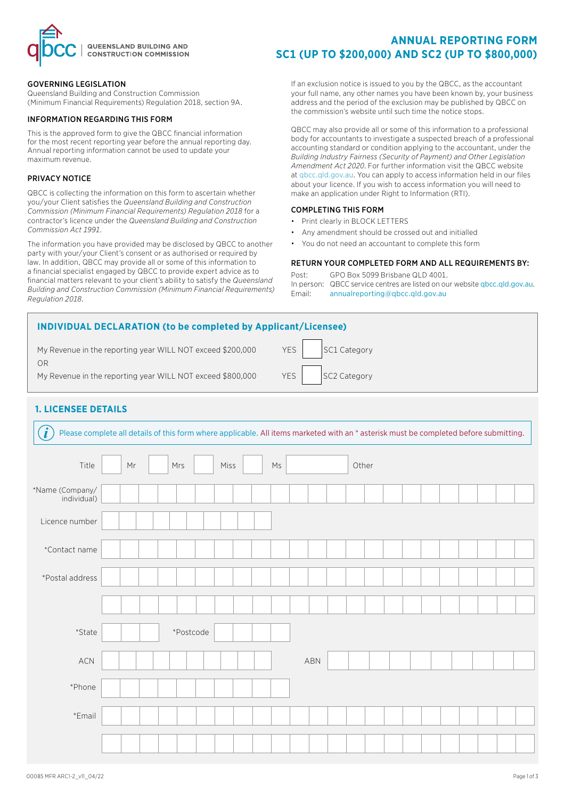

### GOVERNING LEGISLATION

Queensland Building and Construction Commission (Minimum Financial Requirements) Regulation 2018, section 9A.

#### INFORMATION REGARDING THIS FORM

This is the approved form to give the QBCC financial information for the most recent reporting year before the annual reporting day. Annual reporting information cannot be used to update your maximum revenue.

#### PRIVACY NOTICE

QBCC is collecting the information on this form to ascertain whether you/your Client satisfies the *Queensland Building and Construction Commission (Minimum Financial Requirements) Regulation 2018* for a contractor's licence under the *Queensland Building and Construction Commission Act 1991*.

The information you have provided may be disclosed by QBCC to another party with your/your Client's consent or as authorised or required by law. In addition, QBCC may provide all or some of this information to a financial specialist engaged by QBCC to provide expert advice as to financial matters relevant to your client's ability to satisfy the *Queensland Building and Construction Commission (Minimum Financial Requirements) Regulation 2018*.

# **ANNUAL REPORTING FORM SC1 (UP TO \$200,000) AND SC2 (UP TO \$800,000)**

If an exclusion notice is issued to you by the QBCC, as the accountant your full name, any other names you have been known by, your business address and the period of the exclusion may be published by QBCC on the commission's website until such time the notice stops.

QBCC may also provide all or some of this information to a professional body for accountants to investigate a suspected breach of a professional accounting standard or condition applying to the accountant, under the *Building Industry Fairness (Security of Payment) and Other Legislation Amendment Act 2020*. For further information visit the QBCC website at qbcc.qld.gov.au. You can apply to access information held in our files about your licence. If you wish to access information you will need to make an application under Right to Information (RTI).

### COMPLETING THIS FORM

- Print clearly in BLOCK LETTERS
- Any amendment should be crossed out and initialled
- You do not need an accountant to complete this form

### RETURN YOUR COMPLETED FORM AND ALL REQUIREMENTS BY:

Post: GPO Box 5099 Brisbane QLD 4001. In person: QBCC service centres are listed on our website qbcc.qld.gov.au. Email: [annualreporting@qbcc.qld.gov.au](mailto:annualreporting%40qbcc.qld.gov.au?subject=)

| <b>INDIVIDUAL DECLARATION (to be completed by Applicant/Licensee)</b> |                            |  |  |  |  |  |  |  |  |  |  |  |
|-----------------------------------------------------------------------|----------------------------|--|--|--|--|--|--|--|--|--|--|--|
| My Revenue in the reporting year WILL NOT exceed \$200,000            | <b>YES</b><br>SC1 Category |  |  |  |  |  |  |  |  |  |  |  |
| ΟR<br>My Revenue in the reporting year WILL NOT exceed \$800,000      | YES<br>SC2 Category        |  |  |  |  |  |  |  |  |  |  |  |
|                                                                       |                            |  |  |  |  |  |  |  |  |  |  |  |

## **1. LICENSEE DETAILS**

| $\ddot{\mathbf{r}}$<br>Please complete all details of this form where applicable. All items marketed with an * asterisk must be completed before submitting. |    |  |           |      |  |                        |     |       |  |  |  |  |  |
|--------------------------------------------------------------------------------------------------------------------------------------------------------------|----|--|-----------|------|--|------------------------|-----|-------|--|--|--|--|--|
| Title                                                                                                                                                        | Mr |  | Mrs       | Miss |  | $\mathsf{M}\mathsf{s}$ |     | Other |  |  |  |  |  |
| *Name (Company/<br>individual)                                                                                                                               |    |  |           |      |  |                        |     |       |  |  |  |  |  |
| Licence number                                                                                                                                               |    |  |           |      |  |                        |     |       |  |  |  |  |  |
| *Contact name                                                                                                                                                |    |  |           |      |  |                        |     |       |  |  |  |  |  |
| *Postal address                                                                                                                                              |    |  |           |      |  |                        |     |       |  |  |  |  |  |
|                                                                                                                                                              |    |  |           |      |  |                        |     |       |  |  |  |  |  |
| $\textcolor{gray}{\text{*}}$ State                                                                                                                           |    |  | *Postcode |      |  |                        |     |       |  |  |  |  |  |
| $\sf{ACN}$                                                                                                                                                   |    |  |           |      |  |                        | ABN |       |  |  |  |  |  |
| *Phone                                                                                                                                                       |    |  |           |      |  |                        |     |       |  |  |  |  |  |
| *Email                                                                                                                                                       |    |  |           |      |  |                        |     |       |  |  |  |  |  |
|                                                                                                                                                              |    |  |           |      |  |                        |     |       |  |  |  |  |  |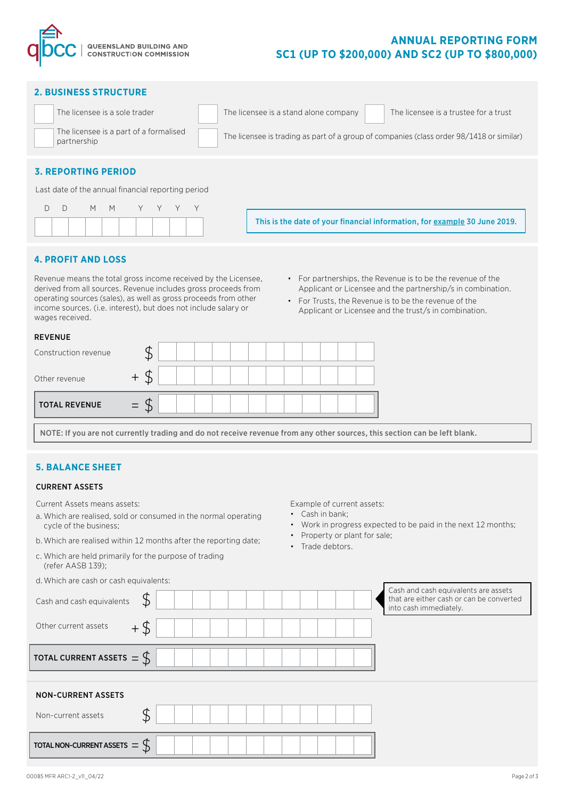

#### **2. BUSINESS STRUCTURE**

| The licensee is a sole trader                         | The licensee is a stand alone company<br>The licensee is a trustee for a trust           |
|-------------------------------------------------------|------------------------------------------------------------------------------------------|
| The licensee is a part of a formalised<br>partnership | The licensee is trading as part of a group of companies (class order 98/1418 or similar) |
|                                                       |                                                                                          |

### **3. REPORTING PERIOD**

Last date of the annual financial reporting period

|  |  | DD M M Y Y Y Y |  |  |  |
|--|--|----------------|--|--|--|
|  |  |                |  |  |  |

This is the date of your financial information, for example 30 June 2019.

### **4. PROFIT AND LOSS**

Revenue means the total gross income received by the Licensee, derived from all sources. Revenue includes gross proceeds from operating sources (sales), as well as gross proceeds from other income sources. (i.e. interest), but does not include salary or wages received.

- For partnerships, the Revenue is to be the revenue of the Applicant or Licensee and the partnership/s in combination.
- For Trusts, the Revenue is to be the revenue of the Applicant or Licensee and the trust/s in combination.

| Construction revenue<br><b>TOTAL REVENUE</b><br>$=$ | <b>REVENUE</b> |  |  |  |  |  |  |  |
|-----------------------------------------------------|----------------|--|--|--|--|--|--|--|
| Other revenue                                       |                |  |  |  |  |  |  |  |
|                                                     |                |  |  |  |  |  |  |  |
|                                                     |                |  |  |  |  |  |  |  |

NOTE: If you are not currently trading and do not receive revenue from any other sources, this section can be left blank.

### **5. BALANCE SHEET**

#### CURRENT ASSETS

Current Assets means assets:

d.Which are cash or cash equivalents:

- a. Which are realised, sold or consumed in the normal operating cycle of the business;
- b. Which are realised within 12 months after the reporting date;
- c. Which are held primarily for the purpose of trading (refer AASB 139);
- Example of current assets:
- Cash in bank;
- Work in progress expected to be paid in the next 12 months;
- Property or plant for sale;
- Trade debtors.

| Cash and cash equivalents            | \$     |  |  |  | Cash and cash equivalents are assets<br>that are either cash or can be converted<br>into cash immediately. |
|--------------------------------------|--------|--|--|--|------------------------------------------------------------------------------------------------------------|
| Other current assets                 | $+$ \$ |  |  |  |                                                                                                            |
| TOTAL CURRENT ASSETS $=$ $\oint$     |        |  |  |  |                                                                                                            |
| <b>NON-CURRENT ASSETS</b>            |        |  |  |  |                                                                                                            |
| Non-current assets                   |        |  |  |  |                                                                                                            |
| TOTAL NON-CURRENT ASSETS $=$ $\zeta$ |        |  |  |  |                                                                                                            |